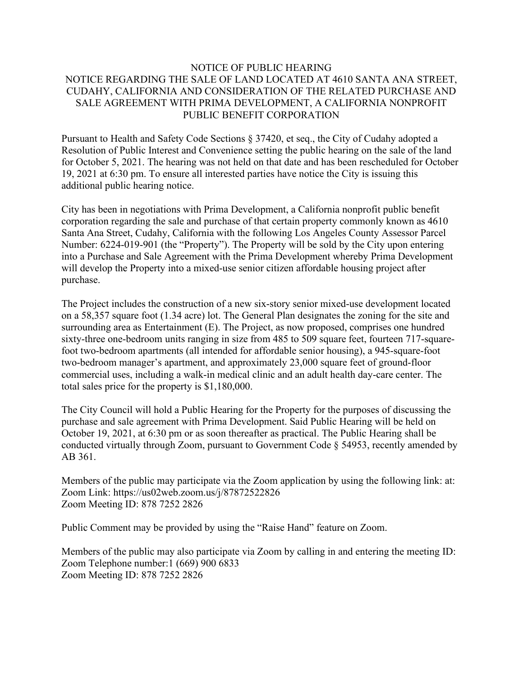## NOTICE OF PUBLIC HEARING NOTICE REGARDING THE SALE OF LAND LOCATED AT 4610 SANTA ANA STREET, CUDAHY, CALIFORNIA AND CONSIDERATION OF THE RELATED PURCHASE AND SALE AGREEMENT WITH PRIMA DEVELOPMENT, A CALIFORNIA NONPROFIT PUBLIC BENEFIT CORPORATION

Pursuant to Health and Safety Code Sections § 37420, et seq., the City of Cudahy adopted a Resolution of Public Interest and Convenience setting the public hearing on the sale of the land for October 5, 2021. The hearing was not held on that date and has been rescheduled for October 19, 2021 at 6:30 pm. To ensure all interested parties have notice the City is issuing this additional public hearing notice.

City has been in negotiations with Prima Development, a California nonprofit public benefit corporation regarding the sale and purchase of that certain property commonly known as 4610 Santa Ana Street, Cudahy, California with the following Los Angeles County Assessor Parcel Number: 6224-019-901 (the "Property"). The Property will be sold by the City upon entering into a Purchase and Sale Agreement with the Prima Development whereby Prima Development will develop the Property into a mixed-use senior citizen affordable housing project after purchase.

The Project includes the construction of a new six-story senior mixed-use development located on a 58,357 square foot (1.34 acre) lot. The General Plan designates the zoning for the site and surrounding area as Entertainment (E). The Project, as now proposed, comprises one hundred sixty-three one-bedroom units ranging in size from 485 to 509 square feet, fourteen 717-squarefoot two-bedroom apartments (all intended for affordable senior housing), a 945-square-foot two-bedroom manager's apartment, and approximately 23,000 square feet of ground-floor commercial uses, including a walk-in medical clinic and an adult health day-care center. The total sales price for the property is \$1,180,000.

The City Council will hold a Public Hearing for the Property for the purposes of discussing the purchase and sale agreement with Prima Development. Said Public Hearing will be held on October 19, 2021, at 6:30 pm or as soon thereafter as practical. The Public Hearing shall be conducted virtually through Zoom, pursuant to Government Code § 54953, recently amended by AB 361.

Members of the public may participate via the Zoom application by using the following link: at: Zoom Link: https://us02web.zoom.us/j/87872522826 Zoom Meeting ID: 878 7252 2826

Public Comment may be provided by using the "Raise Hand" feature on Zoom.

Members of the public may also participate via Zoom by calling in and entering the meeting ID: Zoom Telephone number:1 (669) 900 6833 Zoom Meeting ID: 878 7252 2826